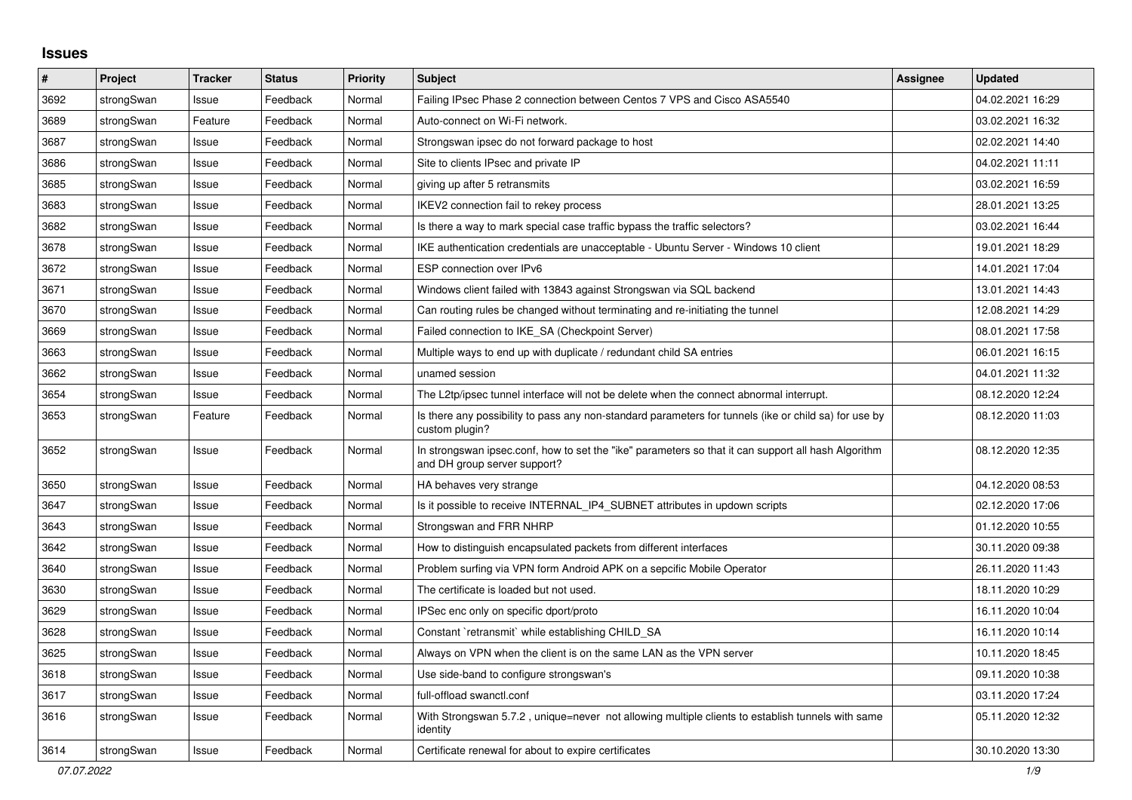## **Issues**

| #    | Project    | <b>Tracker</b> | <b>Status</b> | <b>Priority</b> | <b>Subject</b>                                                                                                                      | <b>Assignee</b> | <b>Updated</b>   |
|------|------------|----------------|---------------|-----------------|-------------------------------------------------------------------------------------------------------------------------------------|-----------------|------------------|
| 3692 | strongSwan | Issue          | Feedback      | Normal          | Failing IPsec Phase 2 connection between Centos 7 VPS and Cisco ASA5540                                                             |                 | 04.02.2021 16:29 |
| 3689 | strongSwan | Feature        | Feedback      | Normal          | Auto-connect on Wi-Fi network.                                                                                                      |                 | 03.02.2021 16:32 |
| 3687 | strongSwan | Issue          | Feedback      | Normal          | Strongswan ipsec do not forward package to host                                                                                     |                 | 02.02.2021 14:40 |
| 3686 | strongSwan | Issue          | Feedback      | Normal          | Site to clients IPsec and private IP                                                                                                |                 | 04.02.2021 11:11 |
| 3685 | strongSwan | Issue          | Feedback      | Normal          | giving up after 5 retransmits                                                                                                       |                 | 03.02.2021 16:59 |
| 3683 | strongSwan | Issue          | Feedback      | Normal          | IKEV2 connection fail to rekey process                                                                                              |                 | 28.01.2021 13:25 |
| 3682 | strongSwan | Issue          | Feedback      | Normal          | Is there a way to mark special case traffic bypass the traffic selectors?                                                           |                 | 03.02.2021 16:44 |
| 3678 | strongSwan | Issue          | Feedback      | Normal          | IKE authentication credentials are unacceptable - Ubuntu Server - Windows 10 client                                                 |                 | 19.01.2021 18:29 |
| 3672 | strongSwan | Issue          | Feedback      | Normal          | ESP connection over IPv6                                                                                                            |                 | 14.01.2021 17:04 |
| 3671 | strongSwan | Issue          | Feedback      | Normal          | Windows client failed with 13843 against Strongswan via SQL backend                                                                 |                 | 13.01.2021 14:43 |
| 3670 | strongSwan | Issue          | Feedback      | Normal          | Can routing rules be changed without terminating and re-initiating the tunnel                                                       |                 | 12.08.2021 14:29 |
| 3669 | strongSwan | Issue          | Feedback      | Normal          | Failed connection to IKE SA (Checkpoint Server)                                                                                     |                 | 08.01.2021 17:58 |
| 3663 | strongSwan | Issue          | Feedback      | Normal          | Multiple ways to end up with duplicate / redundant child SA entries                                                                 |                 | 06.01.2021 16:15 |
| 3662 | strongSwan | Issue          | Feedback      | Normal          | unamed session                                                                                                                      |                 | 04.01.2021 11:32 |
| 3654 | strongSwan | Issue          | Feedback      | Normal          | The L2tp/ipsec tunnel interface will not be delete when the connect abnormal interrupt.                                             |                 | 08.12.2020 12:24 |
| 3653 | strongSwan | Feature        | Feedback      | Normal          | Is there any possibility to pass any non-standard parameters for tunnels (ike or child sa) for use by<br>custom plugin?             |                 | 08.12.2020 11:03 |
| 3652 | strongSwan | Issue          | Feedback      | Normal          | In strongswan ipsec.conf, how to set the "ike" parameters so that it can support all hash Algorithm<br>and DH group server support? |                 | 08.12.2020 12:35 |
| 3650 | strongSwan | Issue          | Feedback      | Normal          | HA behaves very strange                                                                                                             |                 | 04.12.2020 08:53 |
| 3647 | strongSwan | Issue          | Feedback      | Normal          | Is it possible to receive INTERNAL_IP4_SUBNET attributes in updown scripts                                                          |                 | 02.12.2020 17:06 |
| 3643 | strongSwan | Issue          | Feedback      | Normal          | Strongswan and FRR NHRP                                                                                                             |                 | 01.12.2020 10:55 |
| 3642 | strongSwan | Issue          | Feedback      | Normal          | How to distinguish encapsulated packets from different interfaces                                                                   |                 | 30.11.2020 09:38 |
| 3640 | strongSwan | Issue          | Feedback      | Normal          | Problem surfing via VPN form Android APK on a sepcific Mobile Operator                                                              |                 | 26.11.2020 11:43 |
| 3630 | strongSwan | Issue          | Feedback      | Normal          | The certificate is loaded but not used.                                                                                             |                 | 18.11.2020 10:29 |
| 3629 | strongSwan | Issue          | Feedback      | Normal          | IPSec enc only on specific dport/proto                                                                                              |                 | 16.11.2020 10:04 |
| 3628 | strongSwan | Issue          | Feedback      | Normal          | Constant `retransmit` while establishing CHILD SA                                                                                   |                 | 16.11.2020 10:14 |
| 3625 | strongSwan | Issue          | Feedback      | Normal          | Always on VPN when the client is on the same LAN as the VPN server                                                                  |                 | 10.11.2020 18:45 |
| 3618 | strongSwan | Issue          | Feedback      | Normal          | Use side-band to configure strongswan's                                                                                             |                 | 09.11.2020 10:38 |
| 3617 | strongSwan | Issue          | Feedback      | Normal          | full-offload swanctl.conf                                                                                                           |                 | 03.11.2020 17:24 |
| 3616 | strongSwan | Issue          | Feedback      | Normal          | With Strongswan 5.7.2, unique=never not allowing multiple clients to establish tunnels with same<br>identity                        |                 | 05.11.2020 12:32 |
| 3614 | strongSwan | Issue          | Feedback      | Normal          | Certificate renewal for about to expire certificates                                                                                |                 | 30.10.2020 13:30 |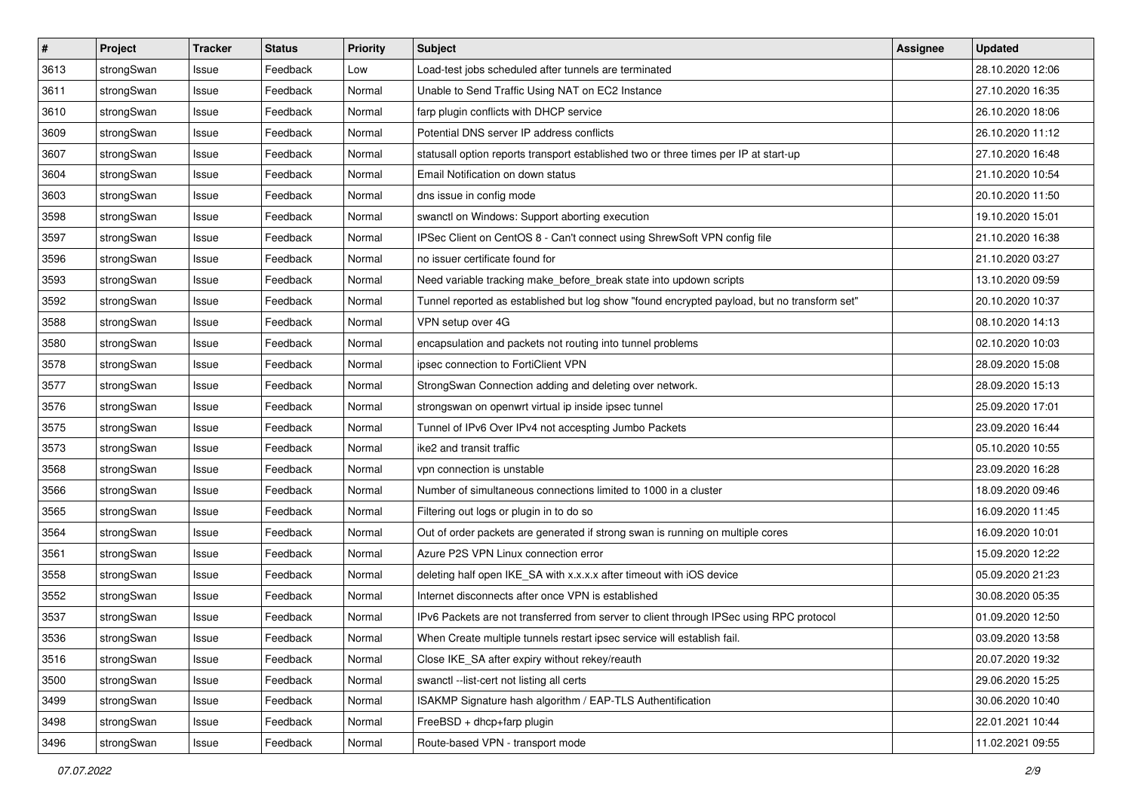| $\pmb{\#}$ | Project    | <b>Tracker</b> | <b>Status</b> | <b>Priority</b> | <b>Subject</b>                                                                              | Assignee | <b>Updated</b>   |
|------------|------------|----------------|---------------|-----------------|---------------------------------------------------------------------------------------------|----------|------------------|
| 3613       | strongSwan | Issue          | Feedback      | Low             | Load-test jobs scheduled after tunnels are terminated                                       |          | 28.10.2020 12:06 |
| 3611       | strongSwan | Issue          | Feedback      | Normal          | Unable to Send Traffic Using NAT on EC2 Instance                                            |          | 27.10.2020 16:35 |
| 3610       | strongSwan | Issue          | Feedback      | Normal          | farp plugin conflicts with DHCP service                                                     |          | 26.10.2020 18:06 |
| 3609       | strongSwan | Issue          | Feedback      | Normal          | Potential DNS server IP address conflicts                                                   |          | 26.10.2020 11:12 |
| 3607       | strongSwan | Issue          | Feedback      | Normal          | statusall option reports transport established two or three times per IP at start-up        |          | 27.10.2020 16:48 |
| 3604       | strongSwan | Issue          | Feedback      | Normal          | Email Notification on down status                                                           |          | 21.10.2020 10:54 |
| 3603       | strongSwan | Issue          | Feedback      | Normal          | dns issue in config mode                                                                    |          | 20.10.2020 11:50 |
| 3598       | strongSwan | Issue          | Feedback      | Normal          | swanctl on Windows: Support aborting execution                                              |          | 19.10.2020 15:01 |
| 3597       | strongSwan | Issue          | Feedback      | Normal          | IPSec Client on CentOS 8 - Can't connect using ShrewSoft VPN config file                    |          | 21.10.2020 16:38 |
| 3596       | strongSwan | Issue          | Feedback      | Normal          | no issuer certificate found for                                                             |          | 21.10.2020 03:27 |
| 3593       | strongSwan | Issue          | Feedback      | Normal          | Need variable tracking make_before_break state into updown scripts                          |          | 13.10.2020 09:59 |
| 3592       | strongSwan | Issue          | Feedback      | Normal          | Tunnel reported as established but log show "found encrypted payload, but no transform set" |          | 20.10.2020 10:37 |
| 3588       | strongSwan | Issue          | Feedback      | Normal          | VPN setup over 4G                                                                           |          | 08.10.2020 14:13 |
| 3580       | strongSwan | Issue          | Feedback      | Normal          | encapsulation and packets not routing into tunnel problems                                  |          | 02.10.2020 10:03 |
| 3578       | strongSwan | Issue          | Feedback      | Normal          | ipsec connection to FortiClient VPN                                                         |          | 28.09.2020 15:08 |
| 3577       | strongSwan | Issue          | Feedback      | Normal          | StrongSwan Connection adding and deleting over network.                                     |          | 28.09.2020 15:13 |
| 3576       | strongSwan | Issue          | Feedback      | Normal          | strongswan on openwrt virtual ip inside ipsec tunnel                                        |          | 25.09.2020 17:01 |
| 3575       | strongSwan | Issue          | Feedback      | Normal          | Tunnel of IPv6 Over IPv4 not accespting Jumbo Packets                                       |          | 23.09.2020 16:44 |
| 3573       | strongSwan | Issue          | Feedback      | Normal          | ike2 and transit traffic                                                                    |          | 05.10.2020 10:55 |
| 3568       | strongSwan | Issue          | Feedback      | Normal          | vpn connection is unstable                                                                  |          | 23.09.2020 16:28 |
| 3566       | strongSwan | Issue          | Feedback      | Normal          | Number of simultaneous connections limited to 1000 in a cluster                             |          | 18.09.2020 09:46 |
| 3565       | strongSwan | Issue          | Feedback      | Normal          | Filtering out logs or plugin in to do so                                                    |          | 16.09.2020 11:45 |
| 3564       | strongSwan | Issue          | Feedback      | Normal          | Out of order packets are generated if strong swan is running on multiple cores              |          | 16.09.2020 10:01 |
| 3561       | strongSwan | Issue          | Feedback      | Normal          | Azure P2S VPN Linux connection error                                                        |          | 15.09.2020 12:22 |
| 3558       | strongSwan | Issue          | Feedback      | Normal          | deleting half open IKE_SA with x.x.x.x after timeout with iOS device                        |          | 05.09.2020 21:23 |
| 3552       | strongSwan | Issue          | Feedback      | Normal          | Internet disconnects after once VPN is established                                          |          | 30.08.2020 05:35 |
| 3537       | strongSwan | Issue          | Feedback      | Normal          | IPv6 Packets are not transferred from server to client through IPSec using RPC protocol     |          | 01.09.2020 12:50 |
| 3536       | strongSwan | Issue          | Feedback      | Normal          | When Create multiple tunnels restart ipsec service will establish fail.                     |          | 03.09.2020 13:58 |
| 3516       | strongSwan | Issue          | Feedback      | Normal          | Close IKE SA after expiry without rekey/reauth                                              |          | 20.07.2020 19:32 |
| 3500       | strongSwan | Issue          | Feedback      | Normal          | swanctl --list-cert not listing all certs                                                   |          | 29.06.2020 15:25 |
| 3499       | strongSwan | Issue          | Feedback      | Normal          | ISAKMP Signature hash algorithm / EAP-TLS Authentification                                  |          | 30.06.2020 10:40 |
| 3498       | strongSwan | Issue          | Feedback      | Normal          | FreeBSD + dhcp+farp plugin                                                                  |          | 22.01.2021 10:44 |
| 3496       | strongSwan | Issue          | Feedback      | Normal          | Route-based VPN - transport mode                                                            |          | 11.02.2021 09:55 |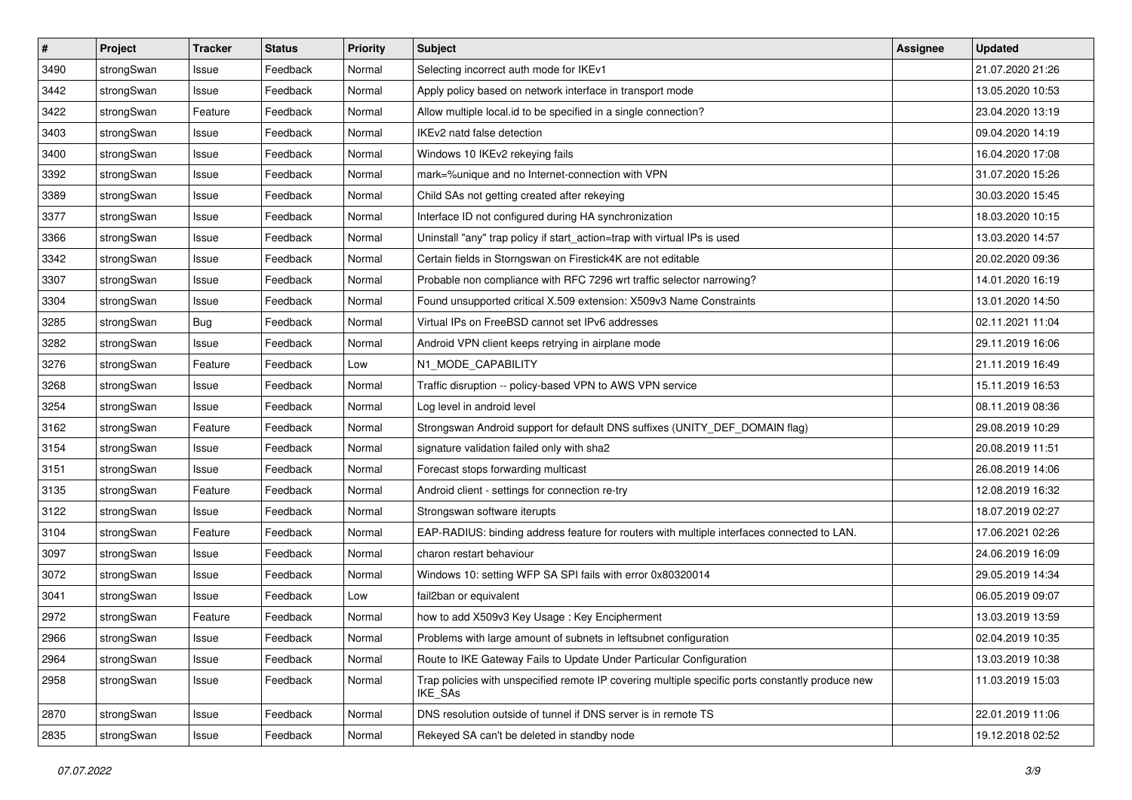| $\pmb{\#}$ | Project    | <b>Tracker</b> | <b>Status</b> | <b>Priority</b> | <b>Subject</b>                                                                                              | <b>Assignee</b> | <b>Updated</b>   |
|------------|------------|----------------|---------------|-----------------|-------------------------------------------------------------------------------------------------------------|-----------------|------------------|
| 3490       | strongSwan | Issue          | Feedback      | Normal          | Selecting incorrect auth mode for IKEv1                                                                     |                 | 21.07.2020 21:26 |
| 3442       | strongSwan | Issue          | Feedback      | Normal          | Apply policy based on network interface in transport mode                                                   |                 | 13.05.2020 10:53 |
| 3422       | strongSwan | Feature        | Feedback      | Normal          | Allow multiple local.id to be specified in a single connection?                                             |                 | 23.04.2020 13:19 |
| 3403       | strongSwan | Issue          | Feedback      | Normal          | IKEv2 natd false detection                                                                                  |                 | 09.04.2020 14:19 |
| 3400       | strongSwan | Issue          | Feedback      | Normal          | Windows 10 IKEv2 rekeying fails                                                                             |                 | 16.04.2020 17:08 |
| 3392       | strongSwan | Issue          | Feedback      | Normal          | mark=%unique and no Internet-connection with VPN                                                            |                 | 31.07.2020 15:26 |
| 3389       | strongSwan | Issue          | Feedback      | Normal          | Child SAs not getting created after rekeying                                                                |                 | 30.03.2020 15:45 |
| 3377       | strongSwan | Issue          | Feedback      | Normal          | Interface ID not configured during HA synchronization                                                       |                 | 18.03.2020 10:15 |
| 3366       | strongSwan | Issue          | Feedback      | Normal          | Uninstall "any" trap policy if start_action=trap with virtual IPs is used                                   |                 | 13.03.2020 14:57 |
| 3342       | strongSwan | Issue          | Feedback      | Normal          | Certain fields in Storngswan on Firestick4K are not editable                                                |                 | 20.02.2020 09:36 |
| 3307       | strongSwan | Issue          | Feedback      | Normal          | Probable non compliance with RFC 7296 wrt traffic selector narrowing?                                       |                 | 14.01.2020 16:19 |
| 3304       | strongSwan | Issue          | Feedback      | Normal          | Found unsupported critical X.509 extension: X509v3 Name Constraints                                         |                 | 13.01.2020 14:50 |
| 3285       | strongSwan | Bug            | Feedback      | Normal          | Virtual IPs on FreeBSD cannot set IPv6 addresses                                                            |                 | 02.11.2021 11:04 |
| 3282       | strongSwan | Issue          | Feedback      | Normal          | Android VPN client keeps retrying in airplane mode                                                          |                 | 29.11.2019 16:06 |
| 3276       | strongSwan | Feature        | Feedback      | Low             | N1_MODE_CAPABILITY                                                                                          |                 | 21.11.2019 16:49 |
| 3268       | strongSwan | Issue          | Feedback      | Normal          | Traffic disruption -- policy-based VPN to AWS VPN service                                                   |                 | 15.11.2019 16:53 |
| 3254       | strongSwan | Issue          | Feedback      | Normal          | Log level in android level                                                                                  |                 | 08.11.2019 08:36 |
| 3162       | strongSwan | Feature        | Feedback      | Normal          | Strongswan Android support for default DNS suffixes (UNITY_DEF_DOMAIN flag)                                 |                 | 29.08.2019 10:29 |
| 3154       | strongSwan | Issue          | Feedback      | Normal          | signature validation failed only with sha2                                                                  |                 | 20.08.2019 11:51 |
| 3151       | strongSwan | Issue          | Feedback      | Normal          | Forecast stops forwarding multicast                                                                         |                 | 26.08.2019 14:06 |
| 3135       | strongSwan | Feature        | Feedback      | Normal          | Android client - settings for connection re-try                                                             |                 | 12.08.2019 16:32 |
| 3122       | strongSwan | Issue          | Feedback      | Normal          | Strongswan software iterupts                                                                                |                 | 18.07.2019 02:27 |
| 3104       | strongSwan | Feature        | Feedback      | Normal          | EAP-RADIUS: binding address feature for routers with multiple interfaces connected to LAN.                  |                 | 17.06.2021 02:26 |
| 3097       | strongSwan | Issue          | Feedback      | Normal          | charon restart behaviour                                                                                    |                 | 24.06.2019 16:09 |
| 3072       | strongSwan | Issue          | Feedback      | Normal          | Windows 10: setting WFP SA SPI fails with error 0x80320014                                                  |                 | 29.05.2019 14:34 |
| 3041       | strongSwan | Issue          | Feedback      | Low             | fail2ban or equivalent                                                                                      |                 | 06.05.2019 09:07 |
| 2972       | strongSwan | Feature        | Feedback      | Normal          | how to add X509v3 Key Usage: Key Encipherment                                                               |                 | 13.03.2019 13:59 |
| 2966       | strongSwan | Issue          | Feedback      | Normal          | Problems with large amount of subnets in leftsubnet configuration                                           |                 | 02.04.2019 10:35 |
| 2964       | strongSwan | Issue          | Feedback      | Normal          | Route to IKE Gateway Fails to Update Under Particular Configuration                                         |                 | 13.03.2019 10:38 |
| 2958       | strongSwan | Issue          | Feedback      | Normal          | Trap policies with unspecified remote IP covering multiple specific ports constantly produce new<br>IKE_SAs |                 | 11.03.2019 15:03 |
| 2870       | strongSwan | Issue          | Feedback      | Normal          | DNS resolution outside of tunnel if DNS server is in remote TS                                              |                 | 22.01.2019 11:06 |
| 2835       | strongSwan | Issue          | Feedback      | Normal          | Rekeyed SA can't be deleted in standby node                                                                 |                 | 19.12.2018 02:52 |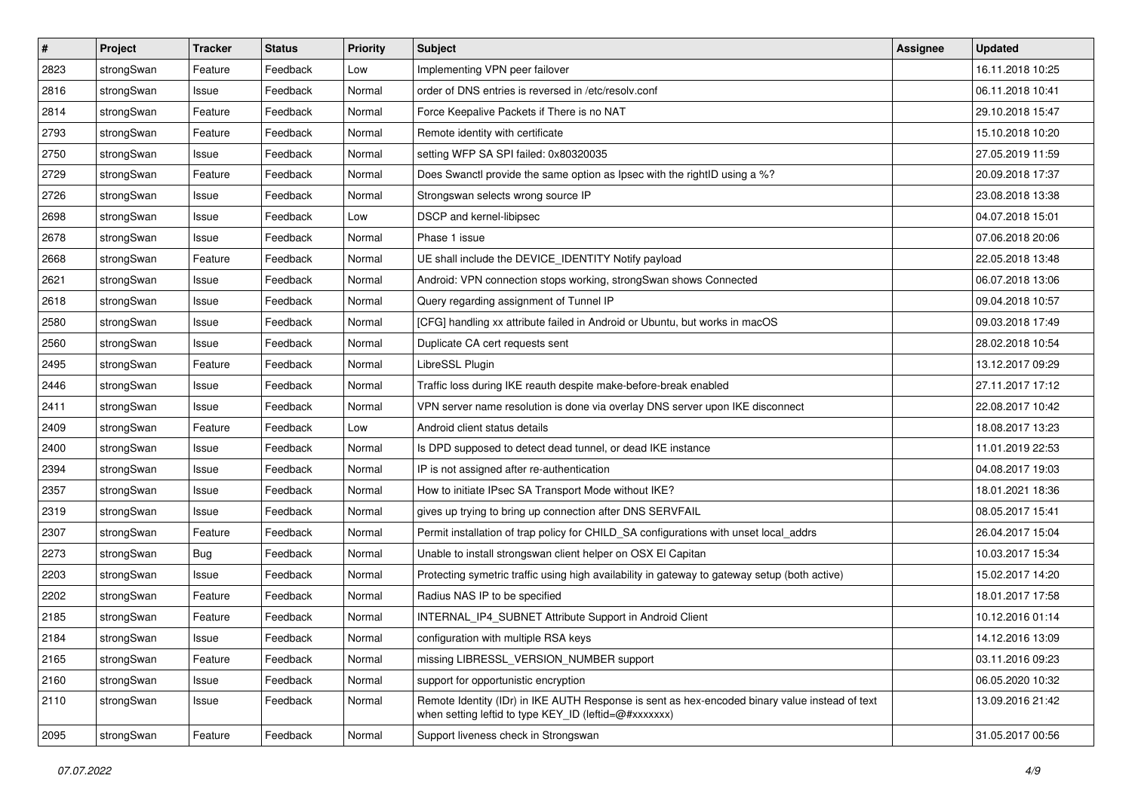| $\vert$ # | Project    | <b>Tracker</b> | <b>Status</b> | <b>Priority</b> | <b>Subject</b>                                                                                                                                          | <b>Assignee</b> | <b>Updated</b>   |
|-----------|------------|----------------|---------------|-----------------|---------------------------------------------------------------------------------------------------------------------------------------------------------|-----------------|------------------|
| 2823      | strongSwan | Feature        | Feedback      | Low             | Implementing VPN peer failover                                                                                                                          |                 | 16.11.2018 10:25 |
| 2816      | strongSwan | Issue          | Feedback      | Normal          | order of DNS entries is reversed in /etc/resolv.conf                                                                                                    |                 | 06.11.2018 10:41 |
| 2814      | strongSwan | Feature        | Feedback      | Normal          | Force Keepalive Packets if There is no NAT                                                                                                              |                 | 29.10.2018 15:47 |
| 2793      | strongSwan | Feature        | Feedback      | Normal          | Remote identity with certificate                                                                                                                        |                 | 15.10.2018 10:20 |
| 2750      | strongSwan | Issue          | Feedback      | Normal          | setting WFP SA SPI failed: 0x80320035                                                                                                                   |                 | 27.05.2019 11:59 |
| 2729      | strongSwan | Feature        | Feedback      | Normal          | Does Swanctl provide the same option as Ipsec with the rightID using a %?                                                                               |                 | 20.09.2018 17:37 |
| 2726      | strongSwan | Issue          | Feedback      | Normal          | Strongswan selects wrong source IP                                                                                                                      |                 | 23.08.2018 13:38 |
| 2698      | strongSwan | Issue          | Feedback      | Low             | DSCP and kernel-libipsec                                                                                                                                |                 | 04.07.2018 15:01 |
| 2678      | strongSwan | Issue          | Feedback      | Normal          | Phase 1 issue                                                                                                                                           |                 | 07.06.2018 20:06 |
| 2668      | strongSwan | Feature        | Feedback      | Normal          | UE shall include the DEVICE_IDENTITY Notify payload                                                                                                     |                 | 22.05.2018 13:48 |
| 2621      | strongSwan | Issue          | Feedback      | Normal          | Android: VPN connection stops working, strongSwan shows Connected                                                                                       |                 | 06.07.2018 13:06 |
| 2618      | strongSwan | Issue          | Feedback      | Normal          | Query regarding assignment of Tunnel IP                                                                                                                 |                 | 09.04.2018 10:57 |
| 2580      | strongSwan | Issue          | Feedback      | Normal          | [CFG] handling xx attribute failed in Android or Ubuntu, but works in macOS                                                                             |                 | 09.03.2018 17:49 |
| 2560      | strongSwan | Issue          | Feedback      | Normal          | Duplicate CA cert requests sent                                                                                                                         |                 | 28.02.2018 10:54 |
| 2495      | strongSwan | Feature        | Feedback      | Normal          | LibreSSL Plugin                                                                                                                                         |                 | 13.12.2017 09:29 |
| 2446      | strongSwan | Issue          | Feedback      | Normal          | Traffic loss during IKE reauth despite make-before-break enabled                                                                                        |                 | 27.11.2017 17:12 |
| 2411      | strongSwan | Issue          | Feedback      | Normal          | VPN server name resolution is done via overlay DNS server upon IKE disconnect                                                                           |                 | 22.08.2017 10:42 |
| 2409      | strongSwan | Feature        | Feedback      | Low             | Android client status details                                                                                                                           |                 | 18.08.2017 13:23 |
| 2400      | strongSwan | Issue          | Feedback      | Normal          | Is DPD supposed to detect dead tunnel, or dead IKE instance                                                                                             |                 | 11.01.2019 22:53 |
| 2394      | strongSwan | Issue          | Feedback      | Normal          | IP is not assigned after re-authentication                                                                                                              |                 | 04.08.2017 19:03 |
| 2357      | strongSwan | Issue          | Feedback      | Normal          | How to initiate IPsec SA Transport Mode without IKE?                                                                                                    |                 | 18.01.2021 18:36 |
| 2319      | strongSwan | Issue          | Feedback      | Normal          | gives up trying to bring up connection after DNS SERVFAIL                                                                                               |                 | 08.05.2017 15:41 |
| 2307      | strongSwan | Feature        | Feedback      | Normal          | Permit installation of trap policy for CHILD_SA configurations with unset local_addrs                                                                   |                 | 26.04.2017 15:04 |
| 2273      | strongSwan | <b>Bug</b>     | Feedback      | Normal          | Unable to install strongswan client helper on OSX El Capitan                                                                                            |                 | 10.03.2017 15:34 |
| 2203      | strongSwan | Issue          | Feedback      | Normal          | Protecting symetric traffic using high availability in gateway to gateway setup (both active)                                                           |                 | 15.02.2017 14:20 |
| 2202      | strongSwan | Feature        | Feedback      | Normal          | Radius NAS IP to be specified                                                                                                                           |                 | 18.01.2017 17:58 |
| 2185      | strongSwan | Feature        | Feedback      | Normal          | INTERNAL_IP4_SUBNET Attribute Support in Android Client                                                                                                 |                 | 10.12.2016 01:14 |
| 2184      | strongSwan | Issue          | Feedback      | Normal          | configuration with multiple RSA keys                                                                                                                    |                 | 14.12.2016 13:09 |
| 2165      | strongSwan | Feature        | Feedback      | Normal          | missing LIBRESSL_VERSION_NUMBER support                                                                                                                 |                 | 03.11.2016 09:23 |
| 2160      | strongSwan | Issue          | Feedback      | Normal          | support for opportunistic encryption                                                                                                                    |                 | 06.05.2020 10:32 |
| 2110      | strongSwan | Issue          | Feedback      | Normal          | Remote Identity (IDr) in IKE AUTH Response is sent as hex-encoded binary value instead of text<br>when setting leftid to type KEY_ID (leftid=@#xxxxxxx) |                 | 13.09.2016 21:42 |
| 2095      | strongSwan | Feature        | Feedback      | Normal          | Support liveness check in Strongswan                                                                                                                    |                 | 31.05.2017 00:56 |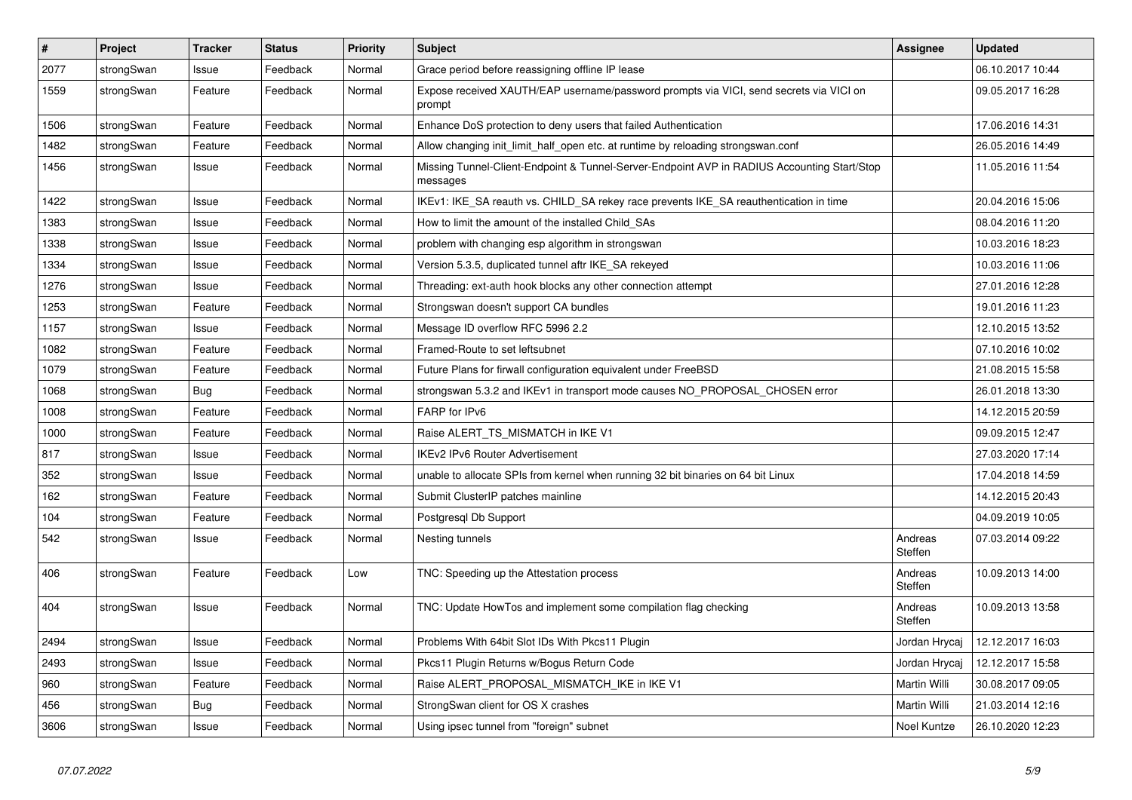| $\vert$ # | <b>Project</b> | <b>Tracker</b> | <b>Status</b> | <b>Priority</b> | <b>Subject</b>                                                                                          | <b>Assignee</b>    | <b>Updated</b>   |
|-----------|----------------|----------------|---------------|-----------------|---------------------------------------------------------------------------------------------------------|--------------------|------------------|
| 2077      | strongSwan     | Issue          | Feedback      | Normal          | Grace period before reassigning offline IP lease                                                        |                    | 06.10.2017 10:44 |
| 1559      | strongSwan     | Feature        | Feedback      | Normal          | Expose received XAUTH/EAP username/password prompts via VICI, send secrets via VICI on<br>prompt        |                    | 09.05.2017 16:28 |
| 1506      | strongSwan     | Feature        | Feedback      | Normal          | Enhance DoS protection to deny users that failed Authentication                                         |                    | 17.06.2016 14:31 |
| 1482      | strongSwan     | Feature        | Feedback      | Normal          | Allow changing init_limit_half_open etc. at runtime by reloading strongswan.conf                        |                    | 26.05.2016 14:49 |
| 1456      | strongSwan     | Issue          | Feedback      | Normal          | Missing Tunnel-Client-Endpoint & Tunnel-Server-Endpoint AVP in RADIUS Accounting Start/Stop<br>messages |                    | 11.05.2016 11:54 |
| 1422      | strongSwan     | Issue          | Feedback      | Normal          | IKEv1: IKE_SA reauth vs. CHILD_SA rekey race prevents IKE_SA reauthentication in time                   |                    | 20.04.2016 15:06 |
| 1383      | strongSwan     | Issue          | Feedback      | Normal          | How to limit the amount of the installed Child SAs                                                      |                    | 08.04.2016 11:20 |
| 1338      | strongSwan     | Issue          | Feedback      | Normal          | problem with changing esp algorithm in strongswan                                                       |                    | 10.03.2016 18:23 |
| 1334      | strongSwan     | Issue          | Feedback      | Normal          | Version 5.3.5, duplicated tunnel aftr IKE SA rekeyed                                                    |                    | 10.03.2016 11:06 |
| 1276      | strongSwan     | Issue          | Feedback      | Normal          | Threading: ext-auth hook blocks any other connection attempt                                            |                    | 27.01.2016 12:28 |
| 1253      | strongSwan     | Feature        | Feedback      | Normal          | Strongswan doesn't support CA bundles                                                                   |                    | 19.01.2016 11:23 |
| 1157      | strongSwan     | Issue          | Feedback      | Normal          | Message ID overflow RFC 5996 2.2                                                                        |                    | 12.10.2015 13:52 |
| 1082      | strongSwan     | Feature        | Feedback      | Normal          | Framed-Route to set leftsubnet                                                                          |                    | 07.10.2016 10:02 |
| 1079      | strongSwan     | Feature        | Feedback      | Normal          | Future Plans for firwall configuration equivalent under FreeBSD                                         |                    | 21.08.2015 15:58 |
| 1068      | strongSwan     | Bug            | Feedback      | Normal          | strongswan 5.3.2 and IKEv1 in transport mode causes NO_PROPOSAL_CHOSEN error                            |                    | 26.01.2018 13:30 |
| 1008      | strongSwan     | Feature        | Feedback      | Normal          | FARP for IPv6                                                                                           |                    | 14.12.2015 20:59 |
| 1000      | strongSwan     | Feature        | Feedback      | Normal          | Raise ALERT TS MISMATCH in IKE V1                                                                       |                    | 09.09.2015 12:47 |
| 817       | strongSwan     | Issue          | Feedback      | Normal          | <b>IKEv2 IPv6 Router Advertisement</b>                                                                  |                    | 27.03.2020 17:14 |
| 352       | strongSwan     | Issue          | Feedback      | Normal          | unable to allocate SPIs from kernel when running 32 bit binaries on 64 bit Linux                        |                    | 17.04.2018 14:59 |
| 162       | strongSwan     | Feature        | Feedback      | Normal          | Submit ClusterIP patches mainline                                                                       |                    | 14.12.2015 20:43 |
| 104       | strongSwan     | Feature        | Feedback      | Normal          | Postgresql Db Support                                                                                   |                    | 04.09.2019 10:05 |
| 542       | strongSwan     | Issue          | Feedback      | Normal          | Nesting tunnels                                                                                         | Andreas<br>Steffen | 07.03.2014 09:22 |
| 406       | strongSwan     | Feature        | Feedback      | Low             | TNC: Speeding up the Attestation process                                                                | Andreas<br>Steffen | 10.09.2013 14:00 |
| 404       | strongSwan     | Issue          | Feedback      | Normal          | TNC: Update HowTos and implement some compilation flag checking                                         | Andreas<br>Steffen | 10.09.2013 13:58 |
| 2494      | strongSwan     | Issue          | Feedback      | Normal          | Problems With 64bit Slot IDs With Pkcs11 Plugin                                                         | Jordan Hrycaj      | 12.12.2017 16:03 |
| 2493      | strongSwan     | Issue          | Feedback      | Normal          | Pkcs11 Plugin Returns w/Bogus Return Code                                                               | Jordan Hrycaj      | 12.12.2017 15:58 |
| 960       | strongSwan     | Feature        | Feedback      | Normal          | Raise ALERT_PROPOSAL_MISMATCH_IKE in IKE V1                                                             | Martin Willi       | 30.08.2017 09:05 |
| 456       | strongSwan     | <b>Bug</b>     | Feedback      | Normal          | StrongSwan client for OS X crashes                                                                      | Martin Willi       | 21.03.2014 12:16 |
| 3606      | strongSwan     | Issue          | Feedback      | Normal          | Using ipsec tunnel from "foreign" subnet                                                                | Noel Kuntze        | 26.10.2020 12:23 |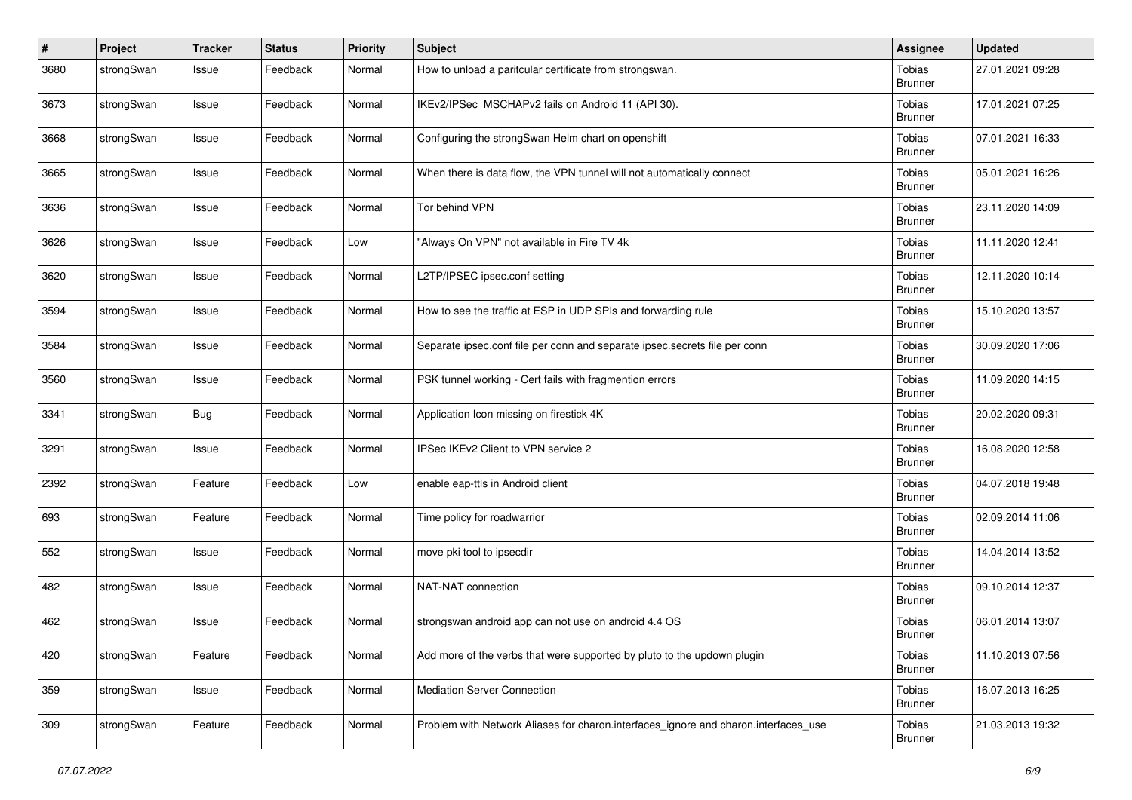| #    | Project    | <b>Tracker</b> | <b>Status</b> | <b>Priority</b> | Subject                                                                             | <b>Assignee</b>                 | <b>Updated</b>   |
|------|------------|----------------|---------------|-----------------|-------------------------------------------------------------------------------------|---------------------------------|------------------|
| 3680 | strongSwan | Issue          | Feedback      | Normal          | How to unload a paritcular certificate from strongswan.                             | Tobias<br><b>Brunner</b>        | 27.01.2021 09:28 |
| 3673 | strongSwan | Issue          | Feedback      | Normal          | IKEv2/IPSec MSCHAPv2 fails on Android 11 (API 30).                                  | Tobias<br><b>Brunner</b>        | 17.01.2021 07:25 |
| 3668 | strongSwan | Issue          | Feedback      | Normal          | Configuring the strongSwan Helm chart on openshift                                  | Tobias<br><b>Brunner</b>        | 07.01.2021 16:33 |
| 3665 | strongSwan | Issue          | Feedback      | Normal          | When there is data flow, the VPN tunnel will not automatically connect              | Tobias<br><b>Brunner</b>        | 05.01.2021 16:26 |
| 3636 | strongSwan | Issue          | Feedback      | Normal          | Tor behind VPN                                                                      | <b>Tobias</b><br><b>Brunner</b> | 23.11.2020 14:09 |
| 3626 | strongSwan | Issue          | Feedback      | Low             | "Always On VPN" not available in Fire TV 4k                                         | Tobias<br><b>Brunner</b>        | 11.11.2020 12:41 |
| 3620 | strongSwan | Issue          | Feedback      | Normal          | L2TP/IPSEC ipsec.conf setting                                                       | Tobias<br><b>Brunner</b>        | 12.11.2020 10:14 |
| 3594 | strongSwan | Issue          | Feedback      | Normal          | How to see the traffic at ESP in UDP SPIs and forwarding rule                       | Tobias<br><b>Brunner</b>        | 15.10.2020 13:57 |
| 3584 | strongSwan | Issue          | Feedback      | Normal          | Separate ipsec.conf file per conn and separate ipsec.secrets file per conn          | Tobias<br><b>Brunner</b>        | 30.09.2020 17:06 |
| 3560 | strongSwan | Issue          | Feedback      | Normal          | PSK tunnel working - Cert fails with fragmention errors                             | Tobias<br><b>Brunner</b>        | 11.09.2020 14:15 |
| 3341 | strongSwan | <b>Bug</b>     | Feedback      | Normal          | Application Icon missing on firestick 4K                                            | Tobias<br><b>Brunner</b>        | 20.02.2020 09:31 |
| 3291 | strongSwan | Issue          | Feedback      | Normal          | IPSec IKEv2 Client to VPN service 2                                                 | Tobias<br><b>Brunner</b>        | 16.08.2020 12:58 |
| 2392 | strongSwan | Feature        | Feedback      | Low             | enable eap-ttls in Android client                                                   | Tobias<br><b>Brunner</b>        | 04.07.2018 19:48 |
| 693  | strongSwan | Feature        | Feedback      | Normal          | Time policy for roadwarrior                                                         | Tobias<br><b>Brunner</b>        | 02.09.2014 11:06 |
| 552  | strongSwan | Issue          | Feedback      | Normal          | move pki tool to ipsecdir                                                           | Tobias<br><b>Brunner</b>        | 14.04.2014 13:52 |
| 482  | strongSwan | Issue          | Feedback      | Normal          | NAT-NAT connection                                                                  | Tobias<br><b>Brunner</b>        | 09.10.2014 12:37 |
| 462  | strongSwan | Issue          | Feedback      | Normal          | strongswan android app can not use on android 4.4 OS                                | Tobias<br><b>Brunner</b>        | 06.01.2014 13:07 |
| 420  | strongSwan | Feature        | Feedback      | Normal          | Add more of the verbs that were supported by pluto to the updown plugin             | <b>Tobias</b><br><b>Brunner</b> | 11.10.2013 07:56 |
| 359  | strongSwan | Issue          | Feedback      | Normal          | <b>Mediation Server Connection</b>                                                  | Tobias<br><b>Brunner</b>        | 16.07.2013 16:25 |
| 309  | strongSwan | Feature        | Feedback      | Normal          | Problem with Network Aliases for charon interfaces ignore and charon interfaces use | Tobias<br><b>Brunner</b>        | 21.03.2013 19:32 |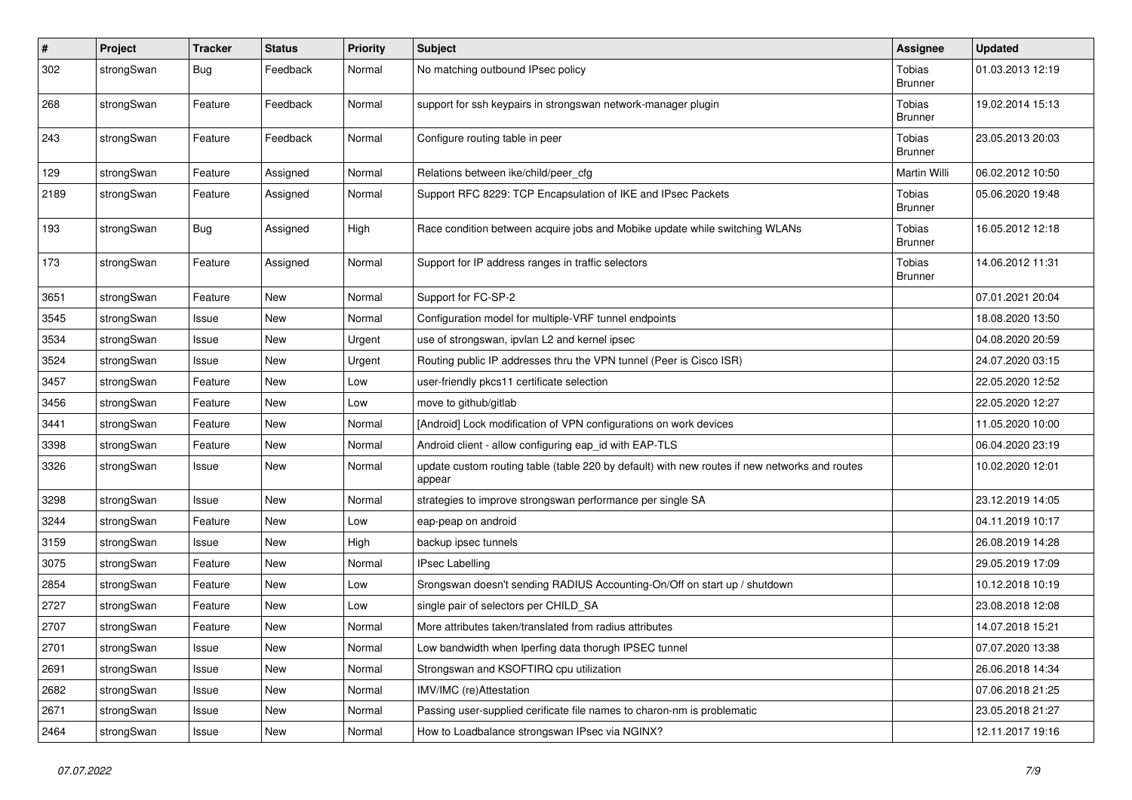| $\vert$ # | Project    | <b>Tracker</b> | <b>Status</b> | <b>Priority</b> | <b>Subject</b>                                                                                          | <b>Assignee</b>                 | <b>Updated</b>   |
|-----------|------------|----------------|---------------|-----------------|---------------------------------------------------------------------------------------------------------|---------------------------------|------------------|
| 302       | strongSwan | <b>Bug</b>     | Feedback      | Normal          | No matching outbound IPsec policy                                                                       | Tobias<br><b>Brunner</b>        | 01.03.2013 12:19 |
| 268       | strongSwan | Feature        | Feedback      | Normal          | support for ssh keypairs in strongswan network-manager plugin                                           | Tobias<br><b>Brunner</b>        | 19.02.2014 15:13 |
| 243       | strongSwan | Feature        | Feedback      | Normal          | Configure routing table in peer                                                                         | <b>Tobias</b><br><b>Brunner</b> | 23.05.2013 20:03 |
| 129       | strongSwan | Feature        | Assigned      | Normal          | Relations between ike/child/peer_cfg                                                                    | <b>Martin Willi</b>             | 06.02.2012 10:50 |
| 2189      | strongSwan | Feature        | Assigned      | Normal          | Support RFC 8229: TCP Encapsulation of IKE and IPsec Packets                                            | <b>Tobias</b><br><b>Brunner</b> | 05.06.2020 19:48 |
| 193       | strongSwan | <b>Bug</b>     | Assigned      | High            | Race condition between acquire jobs and Mobike update while switching WLANs                             | <b>Tobias</b><br>Brunner        | 16.05.2012 12:18 |
| 173       | strongSwan | Feature        | Assigned      | Normal          | Support for IP address ranges in traffic selectors                                                      | Tobias<br><b>Brunner</b>        | 14.06.2012 11:31 |
| 3651      | strongSwan | Feature        | <b>New</b>    | Normal          | Support for FC-SP-2                                                                                     |                                 | 07.01.2021 20:04 |
| 3545      | strongSwan | Issue          | New           | Normal          | Configuration model for multiple-VRF tunnel endpoints                                                   |                                 | 18.08.2020 13:50 |
| 3534      | strongSwan | Issue          | New           | Urgent          | use of strongswan, ipvlan L2 and kernel ipsec                                                           |                                 | 04.08.2020 20:59 |
| 3524      | strongSwan | Issue          | New           | Urgent          | Routing public IP addresses thru the VPN tunnel (Peer is Cisco ISR)                                     |                                 | 24.07.2020 03:15 |
| 3457      | strongSwan | Feature        | <b>New</b>    | Low             | user-friendly pkcs11 certificate selection                                                              |                                 | 22.05.2020 12:52 |
| 3456      | strongSwan | Feature        | New           | Low             | move to github/gitlab                                                                                   |                                 | 22.05.2020 12:27 |
| 3441      | strongSwan | Feature        | <b>New</b>    | Normal          | [Android] Lock modification of VPN configurations on work devices                                       |                                 | 11.05.2020 10:00 |
| 3398      | strongSwan | Feature        | New           | Normal          | Android client - allow configuring eap_id with EAP-TLS                                                  |                                 | 06.04.2020 23:19 |
| 3326      | strongSwan | Issue          | New           | Normal          | update custom routing table (table 220 by default) with new routes if new networks and routes<br>appear |                                 | 10.02.2020 12:01 |
| 3298      | strongSwan | Issue          | <b>New</b>    | Normal          | strategies to improve strongswan performance per single SA                                              |                                 | 23.12.2019 14:05 |
| 3244      | strongSwan | Feature        | New           | Low             | eap-peap on android                                                                                     |                                 | 04.11.2019 10:17 |
| 3159      | strongSwan | Issue          | <b>New</b>    | High            | backup ipsec tunnels                                                                                    |                                 | 26.08.2019 14:28 |
| 3075      | strongSwan | Feature        | New           | Normal          | <b>IPsec Labelling</b>                                                                                  |                                 | 29.05.2019 17:09 |
| 2854      | strongSwan | Feature        | New           | Low             | Srongswan doesn't sending RADIUS Accounting-On/Off on start up / shutdown                               |                                 | 10.12.2018 10:19 |
| 2727      | strongSwan | Feature        | New           | Low             | single pair of selectors per CHILD SA                                                                   |                                 | 23.08.2018 12:08 |
| 2707      | strongSwan | Feature        | New           | Normal          | More attributes taken/translated from radius attributes                                                 |                                 | 14.07.2018 15:21 |
| 2701      | strongSwan | Issue          | New           | Normal          | Low bandwidth when Iperfing data thorugh IPSEC tunnel                                                   |                                 | 07.07.2020 13:38 |
| 2691      | strongSwan | Issue          | New           | Normal          | Strongswan and KSOFTIRQ cpu utilization                                                                 |                                 | 26.06.2018 14:34 |
| 2682      | strongSwan | Issue          | New           | Normal          | IMV/IMC (re)Attestation                                                                                 |                                 | 07.06.2018 21:25 |
| 2671      | strongSwan | Issue          | New           | Normal          | Passing user-supplied cerificate file names to charon-nm is problematic                                 |                                 | 23.05.2018 21:27 |
| 2464      | strongSwan | Issue          | New           | Normal          | How to Loadbalance strongswan IPsec via NGINX?                                                          |                                 | 12.11.2017 19:16 |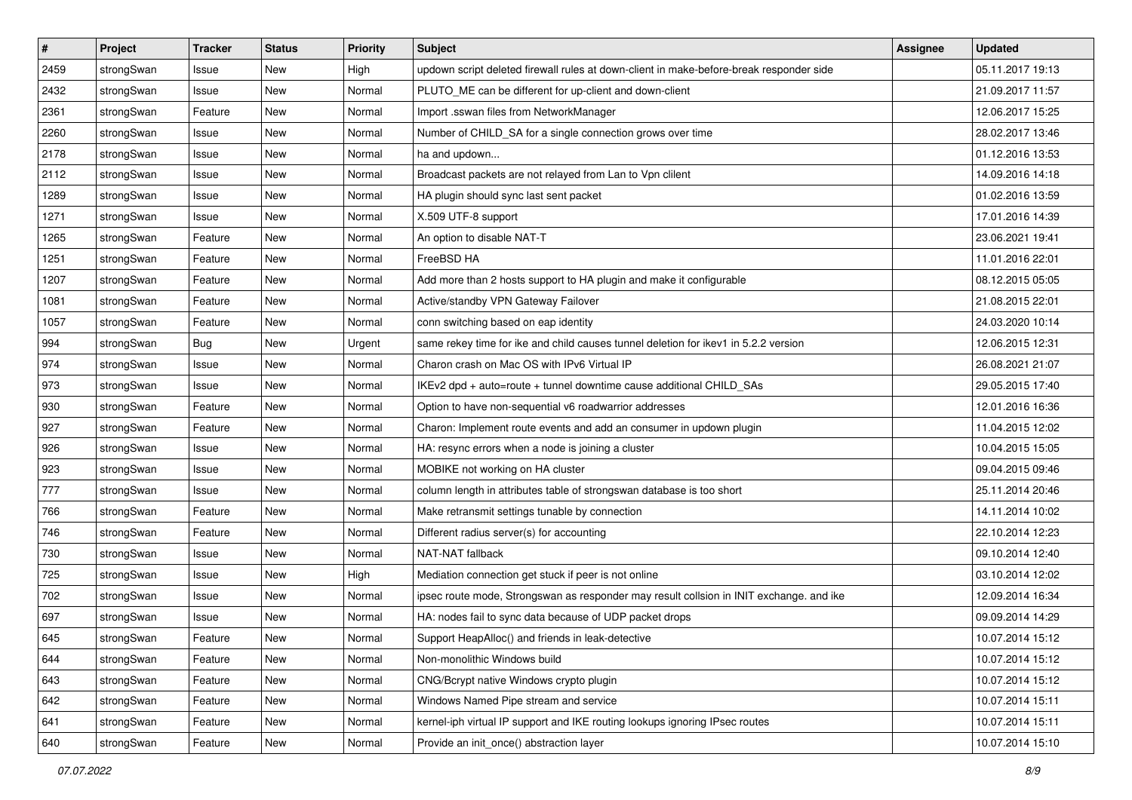| $\sharp$ | Project    | <b>Tracker</b> | <b>Status</b> | <b>Priority</b> | <b>Subject</b>                                                                          | <b>Assignee</b> | <b>Updated</b>   |
|----------|------------|----------------|---------------|-----------------|-----------------------------------------------------------------------------------------|-----------------|------------------|
| 2459     | strongSwan | Issue          | New           | High            | updown script deleted firewall rules at down-client in make-before-break responder side |                 | 05.11.2017 19:13 |
| 2432     | strongSwan | Issue          | New           | Normal          | PLUTO_ME can be different for up-client and down-client                                 |                 | 21.09.2017 11:57 |
| 2361     | strongSwan | Feature        | New           | Normal          | Import .sswan files from NetworkManager                                                 |                 | 12.06.2017 15:25 |
| 2260     | strongSwan | Issue          | New           | Normal          | Number of CHILD_SA for a single connection grows over time                              |                 | 28.02.2017 13:46 |
| 2178     | strongSwan | Issue          | New           | Normal          | ha and updown                                                                           |                 | 01.12.2016 13:53 |
| 2112     | strongSwan | Issue          | New           | Normal          | Broadcast packets are not relayed from Lan to Vpn clilent                               |                 | 14.09.2016 14:18 |
| 1289     | strongSwan | Issue          | <b>New</b>    | Normal          | HA plugin should sync last sent packet                                                  |                 | 01.02.2016 13:59 |
| 1271     | strongSwan | Issue          | <b>New</b>    | Normal          | X.509 UTF-8 support                                                                     |                 | 17.01.2016 14:39 |
| 1265     | strongSwan | Feature        | New           | Normal          | An option to disable NAT-T                                                              |                 | 23.06.2021 19:41 |
| 1251     | strongSwan | Feature        | New           | Normal          | FreeBSD HA                                                                              |                 | 11.01.2016 22:01 |
| 1207     | strongSwan | Feature        | <b>New</b>    | Normal          | Add more than 2 hosts support to HA plugin and make it configurable                     |                 | 08.12.2015 05:05 |
| 1081     | strongSwan | Feature        | New           | Normal          | Active/standby VPN Gateway Failover                                                     |                 | 21.08.2015 22:01 |
| 1057     | strongSwan | Feature        | <b>New</b>    | Normal          | conn switching based on eap identity                                                    |                 | 24.03.2020 10:14 |
| 994      | strongSwan | <b>Bug</b>     | <b>New</b>    | Urgent          | same rekey time for ike and child causes tunnel deletion for ikev1 in 5.2.2 version     |                 | 12.06.2015 12:31 |
| 974      | strongSwan | Issue          | New           | Normal          | Charon crash on Mac OS with IPv6 Virtual IP                                             |                 | 26.08.2021 21:07 |
| 973      | strongSwan | Issue          | <b>New</b>    | Normal          | IKEv2 dpd + auto=route + tunnel downtime cause additional CHILD_SAs                     |                 | 29.05.2015 17:40 |
| 930      | strongSwan | Feature        | New           | Normal          | Option to have non-sequential v6 roadwarrior addresses                                  |                 | 12.01.2016 16:36 |
| 927      | strongSwan | Feature        | <b>New</b>    | Normal          | Charon: Implement route events and add an consumer in updown plugin                     |                 | 11.04.2015 12:02 |
| 926      | strongSwan | Issue          | <b>New</b>    | Normal          | HA: resync errors when a node is joining a cluster                                      |                 | 10.04.2015 15:05 |
| 923      | strongSwan | Issue          | New           | Normal          | MOBIKE not working on HA cluster                                                        |                 | 09.04.2015 09:46 |
| 777      | strongSwan | Issue          | New           | Normal          | column length in attributes table of strongswan database is too short                   |                 | 25.11.2014 20:46 |
| 766      | strongSwan | Feature        | <b>New</b>    | Normal          | Make retransmit settings tunable by connection                                          |                 | 14.11.2014 10:02 |
| 746      | strongSwan | Feature        | New           | Normal          | Different radius server(s) for accounting                                               |                 | 22.10.2014 12:23 |
| 730      | strongSwan | Issue          | New           | Normal          | NAT-NAT fallback                                                                        |                 | 09.10.2014 12:40 |
| 725      | strongSwan | Issue          | New           | High            | Mediation connection get stuck if peer is not online                                    |                 | 03.10.2014 12:02 |
| 702      | strongSwan | Issue          | <b>New</b>    | Normal          | ipsec route mode, Strongswan as responder may result collsion in INIT exchange. and ike |                 | 12.09.2014 16:34 |
| 697      | strongSwan | Issue          | <b>New</b>    | Normal          | HA: nodes fail to sync data because of UDP packet drops                                 |                 | 09.09.2014 14:29 |
| 645      | strongSwan | Feature        | New           | Normal          | Support HeapAlloc() and friends in leak-detective                                       |                 | 10.07.2014 15:12 |
| 644      | strongSwan | Feature        | New           | Normal          | Non-monolithic Windows build                                                            |                 | 10.07.2014 15:12 |
| 643      | strongSwan | Feature        | New           | Normal          | CNG/Bcrypt native Windows crypto plugin                                                 |                 | 10.07.2014 15:12 |
| 642      | strongSwan | Feature        | New           | Normal          | Windows Named Pipe stream and service                                                   |                 | 10.07.2014 15:11 |
| 641      | strongSwan | Feature        | New           | Normal          | kernel-iph virtual IP support and IKE routing lookups ignoring IPsec routes             |                 | 10.07.2014 15:11 |
| 640      | strongSwan | Feature        | New           | Normal          | Provide an init_once() abstraction layer                                                |                 | 10.07.2014 15:10 |